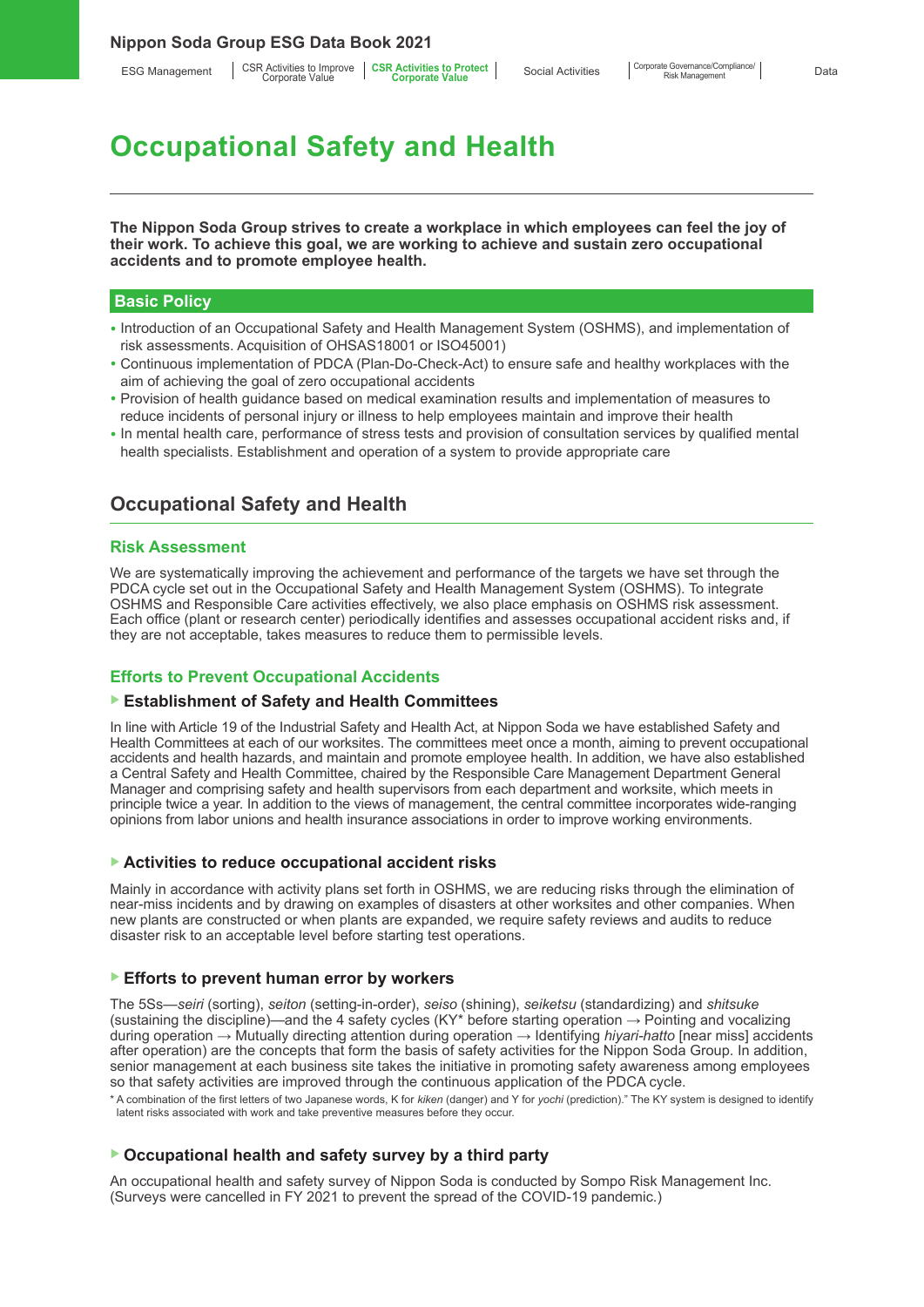ESG Management | CSR Activities to Improve | CSR Activities to Protect<br>Corporate Value **Corporate Corporate Value** 

# **Occupational Safety and Health**

**The Nippon Soda Group strives to create a workplace in which employees can feel the joy of their work. To achieve this goal, we are working to achieve and sustain zero occupational accidents and to promote employee health.** 

### **Basic Policy**

- Introduction of an Occupational Safety and Health Management System (OSHMS), and implementation of risk assessments. Acquisition of OHSAS18001 or ISO45001)
- Continuous implementation of PDCA (Plan-Do-Check-Act) to ensure safe and healthy workplaces with the aim of achieving the goal of zero occupational accidents
- Provision of health guidance based on medical examination results and implementation of measures to reduce incidents of personal injury or illness to help employees maintain and improve their health
- In mental health care, performance of stress tests and provision of consultation services by qualified mental health specialists. Establishment and operation of a system to provide appropriate care

# **Occupational Safety and Health**

#### **Risk Assessment**

We are systematically improving the achievement and performance of the targets we have set through the PDCA cycle set out in the Occupational Safety and Health Management System (OSHMS). To integrate OSHMS and Responsible Care activities effectively, we also place emphasis on OSHMS risk assessment. Each office (plant or research center) periodically identifies and assesses occupational accident risks and, if they are not acceptable, takes measures to reduce them to permissible levels.

### **Efforts to Prevent Occupational Accidents**

#### ▶ **Establishment of Safety and Health Committees**

In line with Article 19 of the Industrial Safety and Health Act, at Nippon Soda we have established Safety and Health Committees at each of our worksites. The committees meet once a month, aiming to prevent occupational accidents and health hazards, and maintain and promote employee health. In addition, we have also established a Central Safety and Health Committee, chaired by the Responsible Care Management Department General Manager and comprising safety and health supervisors from each department and worksite, which meets in principle twice a year. In addition to the views of management, the central committee incorporates wide-ranging opinions from labor unions and health insurance associations in order to improve working environments.

#### ▶ **Activities to reduce occupational accident risks**

Mainly in accordance with activity plans set forth in OSHMS, we are reducing risks through the elimination of near-miss incidents and by drawing on examples of disasters at other worksites and other companies. When new plants are constructed or when plants are expanded, we require safety reviews and audits to reduce disaster risk to an acceptable level before starting test operations.

#### ▶ **Efforts to prevent human error by workers**

The 5Ss—*seiri* (sorting), *seiton* (setting-in-order), *seiso* (shining), *seiketsu* (standardizing) and *shitsuke* (sustaining the discipline)—and the 4 safety cycles (KY\* before starting operation  $\rightarrow$  Pointing and vocalizing during operation → Mutually directing attention during operation → Identifying *hiyari-hatto* [near miss] accidents after operation) are the concepts that form the basis of safety activities for the Nippon Soda Group. In addition, senior management at each business site takes the initiative in promoting safety awareness among employees so that safety activities are improved through the continuous application of the PDCA cycle.

\* A combination of the first letters of two Japanese words, K for *kiken* (danger) and Y for *yochi* (prediction)." The KY system is designed to identify latent risks associated with work and take preventive measures before they occur.

# ▶ **Occupational health and safety survey by a third party**

An occupational health and safety survey of Nippon Soda is conducted by Sompo Risk Management Inc. (Surveys were cancelled in FY 2021 to prevent the spread of the COVID-19 pandemic.)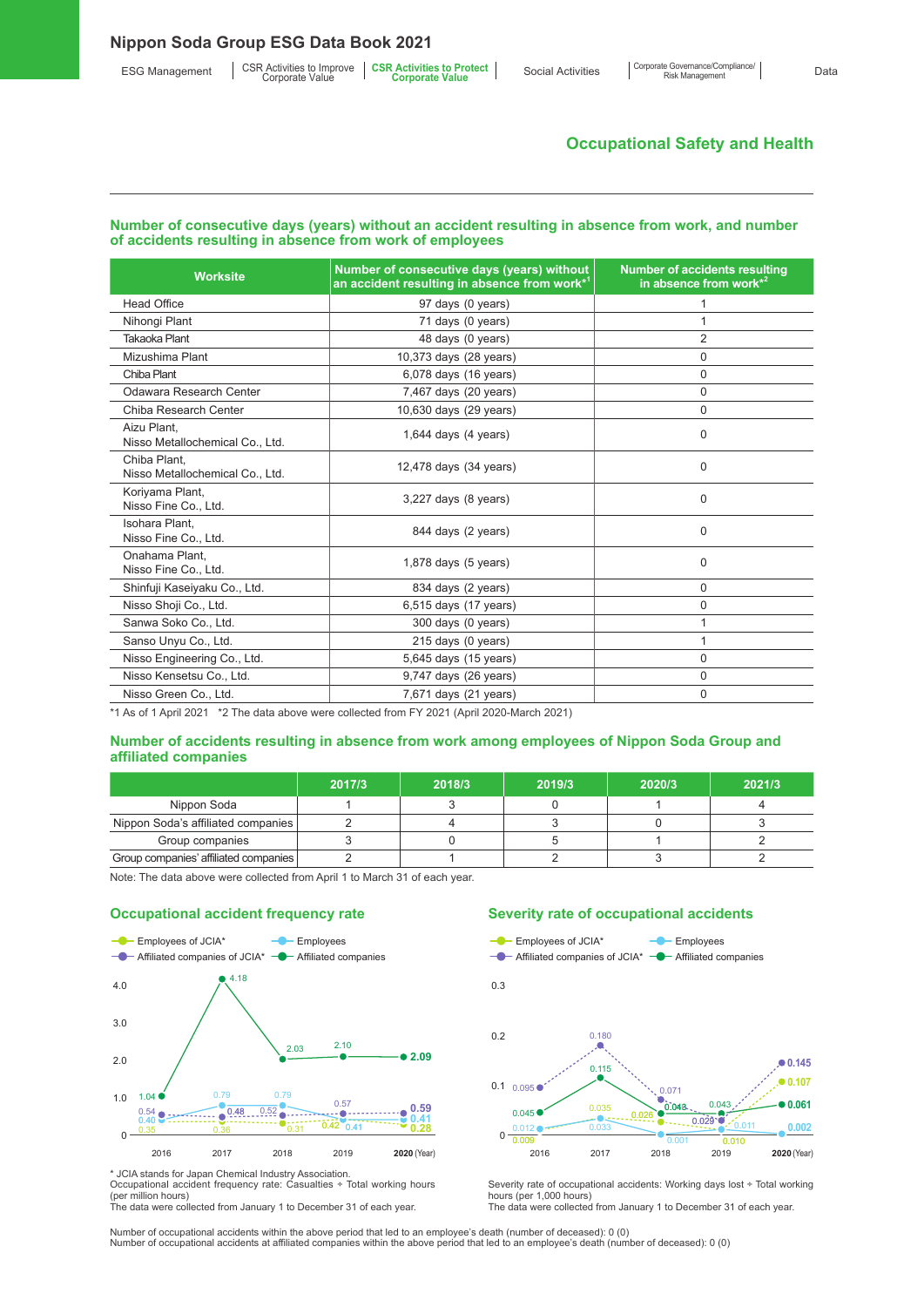# **Occupational Safety and Health**

#### **Number of consecutive days (years) without an accident resulting in absence from work, and number of accidents resulting in absence from work of employees**

| <b>Worksite</b>                                 | Number of consecutive days (years) without<br>an accident resulting in absence from work* <sup>1</sup> | <b>Number of accidents resulting</b><br>in absence from work*2 |  |
|-------------------------------------------------|--------------------------------------------------------------------------------------------------------|----------------------------------------------------------------|--|
| <b>Head Office</b>                              | 97 days (0 years)                                                                                      |                                                                |  |
| Nihongi Plant                                   | 71 days (0 years)                                                                                      |                                                                |  |
| <b>Takaoka Plant</b>                            | 48 days (0 years)                                                                                      | 2                                                              |  |
| Mizushima Plant                                 | 10,373 days (28 years)                                                                                 | $\Omega$                                                       |  |
| Chiba Plant                                     | 6,078 days (16 years)                                                                                  | $\Omega$                                                       |  |
| Odawara Research Center                         | 7,467 days (20 years)                                                                                  | $\Omega$                                                       |  |
| Chiba Research Center                           | 10,630 days (29 years)                                                                                 | $\Omega$                                                       |  |
| Aizu Plant,<br>Nisso Metallochemical Co., Ltd.  | 1,644 days $(4 \text{ years})$                                                                         | $\Omega$                                                       |  |
| Chiba Plant.<br>Nisso Metallochemical Co., Ltd. | 12,478 days (34 years)                                                                                 | $\Omega$                                                       |  |
| Koriyama Plant,<br>Nisso Fine Co., Ltd.         | 3,227 days (8 years)                                                                                   | 0                                                              |  |
| Isohara Plant.<br>Nisso Fine Co., Ltd.          | 844 days (2 years)                                                                                     | $\Omega$                                                       |  |
| Onahama Plant.<br>Nisso Fine Co., Ltd.          | $1,878$ days $(5$ years)                                                                               | $\Omega$                                                       |  |
| Shinfuji Kaseiyaku Co., Ltd.                    | 834 days (2 years)                                                                                     | 0                                                              |  |
| Nisso Shoji Co., Ltd.                           | 6,515 days (17 years)                                                                                  | 0                                                              |  |
| Sanwa Soko Co., Ltd.                            | 300 days (0 years)                                                                                     |                                                                |  |
| Sanso Unyu Co., Ltd.                            | 215 days (0 years)                                                                                     |                                                                |  |
| Nisso Engineering Co., Ltd.                     | 5,645 days (15 years)                                                                                  | $\Omega$                                                       |  |
| Nisso Kensetsu Co., Ltd.                        | 9,747 days (26 years)                                                                                  | $\Omega$                                                       |  |
| Nisso Green Co., Ltd.                           | 7,671 days (21 years)                                                                                  | $\Omega$                                                       |  |

\*1 As of 1 April 2021 \*2 The data above were collected from FY 2021 (April 2020-March 2021)

#### **Number of accidents resulting in absence from work among employees of Nippon Soda Group and affiliated companies**

|                                       | 2017/3 | 2018/3 | 2019/3 | 2020/3 | 2021/3 |
|---------------------------------------|--------|--------|--------|--------|--------|
| Nippon Soda                           |        |        |        |        |        |
| Nippon Soda's affiliated companies    |        |        |        |        |        |
| Group companies                       |        |        |        |        |        |
| Group companies' affiliated companies |        |        |        |        |        |

Note: The data above were collected from April 1 to March 31 of each year.





\* JCIA stands for Japan Chemical Industry Association. Occupational accident frequency rate: Casualties ÷ Total working hours (per million hours)

The data were collected from January 1 to December 31 of each year.

#### **Severity rate of occupational accidents**



Severity rate of occupational accidents: Working days lost ÷ Total working hours (per 1,000 hours) The data were collected from January 1 to December 31 of each year.

Number of occupational accidents within the above period that led to an employee's death (number of deceased): 0 (0) Number of occupational accidents at affiliated companies within the above period that led to an employee's death (number of deceased): 0 (0)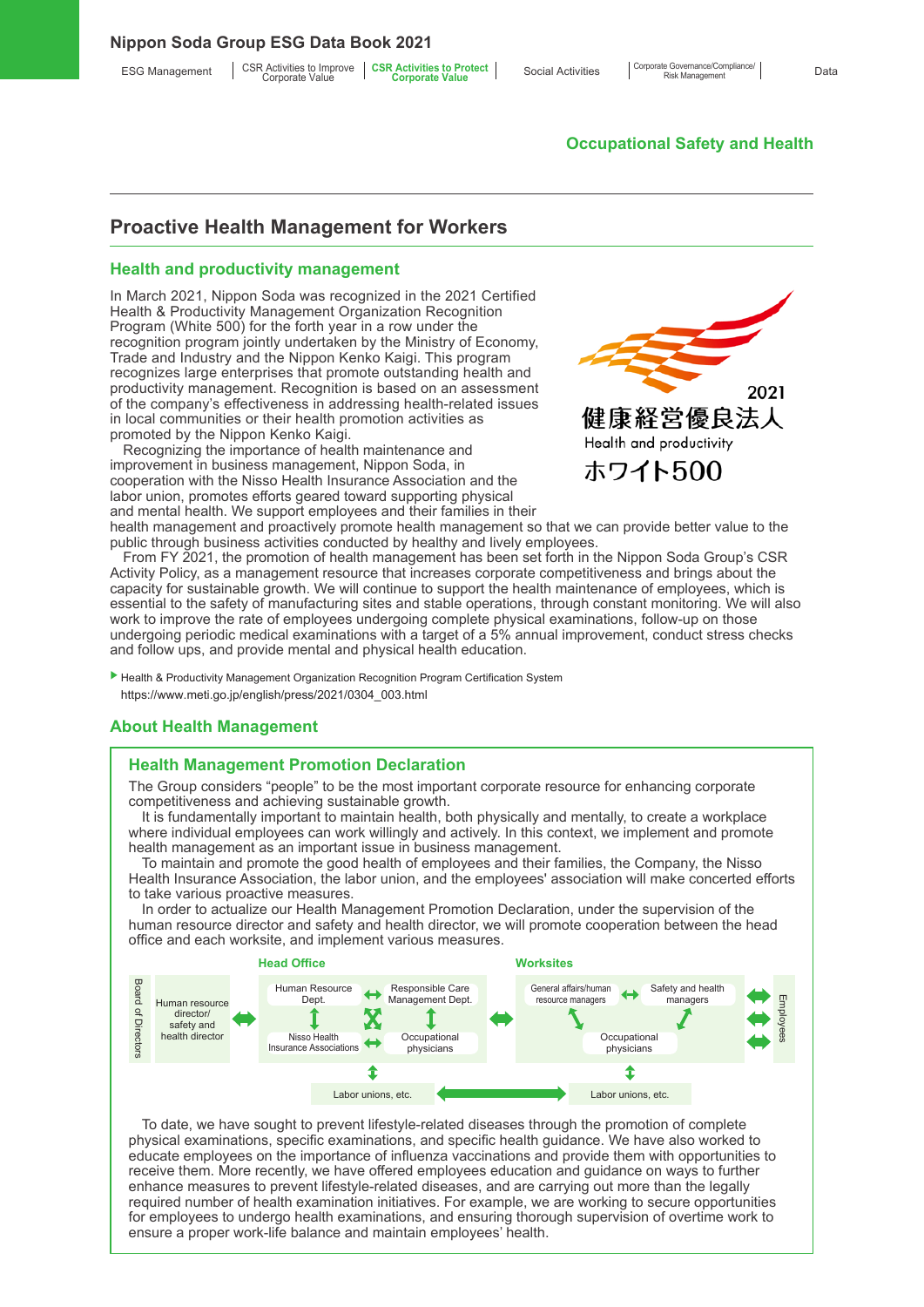#### **Nippon Soda Group ESG Data Book 2021**

ESG Management | CSR Activities to Improve | CSR Activities to Protect<br>Corporate Value **Corporate Corporate Value** 

# **Occupational Safety and Health**

# **Proactive Health Management for Workers**

#### **Health and productivity management**

In March 2021, Nippon Soda was recognized in the 2021 Certified Health & Productivity Management Organization Recognition Program (White 500) for the forth year in a row under the recognition program jointly undertaken by the Ministry of Economy, Trade and Industry and the Nippon Kenko Kaigi. This program recognizes large enterprises that promote outstanding health and productivity management. Recognition is based on an assessment of the company's effectiveness in addressing health-related issues in local communities or their health promotion activities as promoted by the Nippon Kenko Kaigi.

Recognizing the importance of health maintenance and improvement in business management, Nippon Soda, in cooperation with the Nisso Health Insurance Association and the labor union, promotes efforts geared toward supporting physical and mental health. We support employees and their families in their



health management and proactively promote health management so that we can provide better value to the public through business activities conducted by healthy and lively employees.

From FY 2021, the promotion of health management has been set forth in the Nippon Soda Group's CSR Activity Policy, as a management resource that increases corporate competitiveness and brings about the capacity for sustainable growth. We will continue to support the health maintenance of employees, which is essential to the safety of manufacturing sites and stable operations, through constant monitoring. We will also work to improve the rate of employees undergoing complete physical examinations, follow-up on those undergoing periodic medical examinations with a target of a 5% annual improvement, conduct stress checks and follow ups, and provide mental and physical health education.

▶ Health & Productivity Management Organization Recognition Program Certification System https://www.meti.go.jp/english/press/2021/0304\_003.html

### **About Health Management**

### **Health Management Promotion Declaration**

The Group considers "people" to be the most important corporate resource for enhancing corporate competitiveness and achieving sustainable growth.

It is fundamentally important to maintain health, both physically and mentally, to create a workplace where individual employees can work willingly and actively. In this context, we implement and promote health management as an important issue in business management.

To maintain and promote the good health of employees and their families, the Company, the Nisso Health Insurance Association, the labor union, and the employees' association will make concerted efforts to take various proactive measures.

In order to actualize our Health Management Promotion Declaration, under the supervision of the human resource director and safety and health director, we will promote cooperation between the head office and each worksite, and implement various measures.



To date, we have sought to prevent lifestyle-related diseases through the promotion of complete physical examinations, specific examinations, and specific health guidance. We have also worked to educate employees on the importance of influenza vaccinations and provide them with opportunities to receive them. More recently, we have offered employees education and guidance on ways to further enhance measures to prevent lifestyle-related diseases, and are carrying out more than the legally required number of health examination initiatives. For example, we are working to secure opportunities for employees to undergo health examinations, and ensuring thorough supervision of overtime work to ensure a proper work-life balance and maintain employees' health.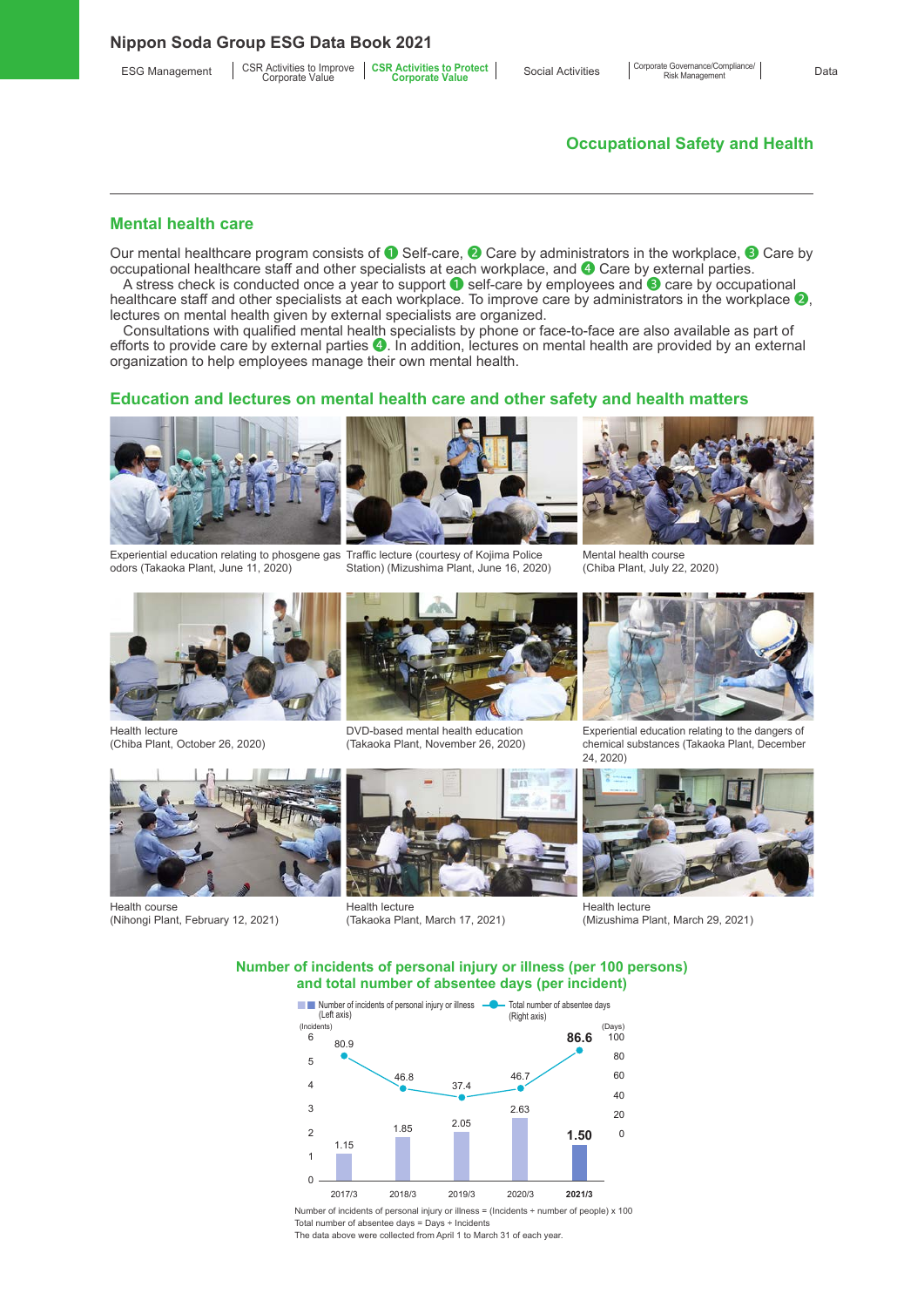**Nippon Soda Group ESG Data Book 2021**

# **Occupational Safety and Health**

Corporate Governance/Compliance/

#### **Mental health care**

Our mental healthcare program consists of ❶ Self-care, ❷ Care by administrators in the workplace, ❸ Care by occupational healthcare staff and other specialists at each workplace, and ❹ Care by external parties.

A stress check is conducted once a year to support ❶ self-care by employees and ❸ care by occupational healthcare staff and other specialists at each workplace. To improve care by administrators in the workplace  $\bullet$ , lectures on mental health given by external specialists are organized.

Consultations with qualified mental health specialists by phone or face-to-face are also available as part of efforts to provide care by external parties ❹. In addition, lectures on mental health are provided by an external organization to help employees manage their own mental health.

#### **Education and lectures on mental health care and other safety and health matters**



Experiential education relating to phosgene gas Traffic lecture (courtesy of Kojima Police odors (Takaoka Plant, June 11, 2020)



Station) (Mizushima Plant, June 16, 2020)



Mental health course (Chiba Plant, July 22, 2020)



Health lecture (Chiba Plant, October 26, 2020)



DVD-based mental health education (Takaoka Plant, November 26, 2020)



Experiential education relating to the dangers of chemical substances (Takaoka Plant, December 24, 2020)



Health course (Nihongi Plant, February 12, 2021)



Health lecture (Takaoka Plant, March 17, 2021)



Health lecture (Mizushima Plant, March 29, 2021)

**Number of incidents of personal injury or illness (per 100 persons) and total number of absentee days (per incident)**



Number of incidents of personal injury or illness = (Incidents ÷ number of people) x 100 Total number of absentee days = Days ÷ Incidents